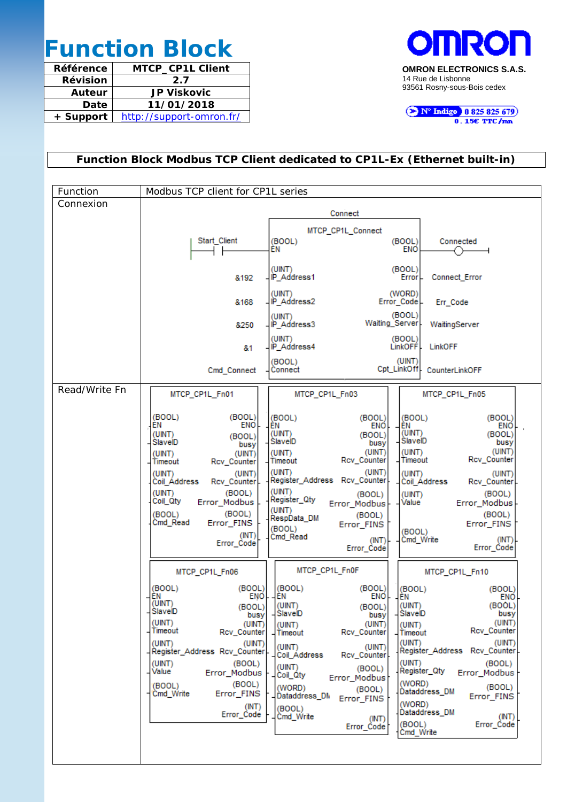# **Function Block**

| Référence       | <b>MTCP CP1L Client</b>  |
|-----------------|--------------------------|
| <b>Révision</b> | 2.7                      |
| Auteur          | <b>JP Viskovic</b>       |
| Date            | 11/01/2018               |
| + Support       | http://support-omron.fr/ |



N° Indigo 10825825679

## **Function Block Modbus TCP Client dedicated to CP1L-Ex (Ethernet built-in)**

| Function      | Modbus TCP client for CP1L series                                                                                                                                                                                                                                                                                                                                                                                                                                                                                                                                                                                                                                                                                                                                                                                                                                                                                                                                                            |
|---------------|----------------------------------------------------------------------------------------------------------------------------------------------------------------------------------------------------------------------------------------------------------------------------------------------------------------------------------------------------------------------------------------------------------------------------------------------------------------------------------------------------------------------------------------------------------------------------------------------------------------------------------------------------------------------------------------------------------------------------------------------------------------------------------------------------------------------------------------------------------------------------------------------------------------------------------------------------------------------------------------------|
| Connexion     | Connect                                                                                                                                                                                                                                                                                                                                                                                                                                                                                                                                                                                                                                                                                                                                                                                                                                                                                                                                                                                      |
|               | MTCP_CP1L_Connect<br>Start_Client<br>(BOOL)<br>(BOOL)<br>Connected<br><b>ENO</b><br>ΕN                                                                                                                                                                                                                                                                                                                                                                                                                                                                                                                                                                                                                                                                                                                                                                                                                                                                                                       |
|               | (UINT)<br>(BOOL)<br>IP Address1<br><b>Connect Error</b><br>Error <br>&192                                                                                                                                                                                                                                                                                                                                                                                                                                                                                                                                                                                                                                                                                                                                                                                                                                                                                                                    |
|               | (UINT)<br>(WORD)<br>IP_Address2<br>Error Code<br>&168<br>Err_Code                                                                                                                                                                                                                                                                                                                                                                                                                                                                                                                                                                                                                                                                                                                                                                                                                                                                                                                            |
|               | (BOOL)<br>(UINT)<br>Waiting_Server<br>IP_Address3<br>WaitingServer<br>8250                                                                                                                                                                                                                                                                                                                                                                                                                                                                                                                                                                                                                                                                                                                                                                                                                                                                                                                   |
|               | (UINT)<br>(BOOL)<br>IP Address4<br>LinkOFFI-<br>LinkOFF<br>&1                                                                                                                                                                                                                                                                                                                                                                                                                                                                                                                                                                                                                                                                                                                                                                                                                                                                                                                                |
|               | (UINT)<br>(BOOL)<br>Cpt LinkOff<br>Connect<br>Cmd_Connect<br>CounterLinkOFF                                                                                                                                                                                                                                                                                                                                                                                                                                                                                                                                                                                                                                                                                                                                                                                                                                                                                                                  |
| Read/Write Fn | MTCP_CP1L_Fn01<br>MTCP_CP1L_Fn03<br>MTCP CP1L Fn05                                                                                                                                                                                                                                                                                                                                                                                                                                                                                                                                                                                                                                                                                                                                                                                                                                                                                                                                           |
|               | (BOOL)<br>(BOOL)<br>(BOOL)<br>(BOOL)<br>(BOOL)<br>(BOOL)<br>ΕN<br>ENO.<br>ÊN<br>EN<br><b>ENO</b><br><b>ENO</b><br>(UINT)<br>(UINT)<br>(UINT)<br>(BOOL)<br>(BOOL)<br>(BOOL)<br>SlaveID<br>SlaveID<br>SlaveID<br>busy<br>busy<br>busy<br>(UINT)<br>(UINT)<br>(UINT)<br>(UINT)<br>(UINT)<br>(UINT)<br>Rcv_Counter<br>Rcv_Counter<br>Timeout<br>Timeout<br>Timeout<br>Rcv_Counter<br>(UINT)<br>(UINT)<br>(UINT)<br>$($ UINT $)$<br>(UINT)<br>(UINT)<br>Register_Address Rcv_Counter<br>Rcv_Counter<br>Coil Address<br>Coil Address<br>Rcv_Counter<br>(UINT)<br>(UINT)<br>(BOOL)<br>(BOOL)<br>(UINT)<br>(BOOL)<br>Register_Qty<br>Coil_Qty<br>Error_Modbus<br>Value<br>Error_Modbus<br>Error_Modbus<br>(UINT)<br>(BOOL)<br>(BOOL)<br>(BOOL)<br>(BOOL)<br>RespData_DM<br>Cmd Read<br>Error FINS<br>Error FINS<br>Error_FINS<br>(BOOL)<br>(BOOL)<br>(INT)<br>Cmd Read<br>(INT)<br>Cmd_Write<br>(INT)<br>Error_Code<br>Error_Code<br>Error_Code                                                      |
|               | MTCP_CP1L_Fn0F<br>MTCP_CP1L_Fn06<br>MTCP CP1L Fn10                                                                                                                                                                                                                                                                                                                                                                                                                                                                                                                                                                                                                                                                                                                                                                                                                                                                                                                                           |
|               | (BOOL)<br>(BOOL)<br>(BOOL)<br>(BOOL)<br>(BOOL)<br>(BOOL)<br>ΕN<br>ENO<br>ΕN<br>ENO<br>ΕN<br><b>ENO</b><br>(UINT)<br>(BOOL)<br>(UINT)<br>(UINT)<br>(BOOL)<br>(BOOL)<br>SlavelD<br>SlaveID<br>SlavelD<br>busy<br>busy<br>busy<br>(UINT)<br>(UINT)<br>$($ UINT $)$<br>(UNT)<br>(UINT)<br>(UINT)<br>Rcv_Counter<br>Timeout<br>Rcv_Counter<br>Rcv_Counter<br>Timeout<br>Timeout<br>(UINT)<br>(UINT)<br>(UINT)<br>(UINT)<br>(UINT)<br>(UINT)<br>Register_Address Rcv_Counter<br>Register_Address Rcv_Counter_<br>Coil_Address<br>Rcv_Counter<br>(UINT)<br>(BOOL)<br>(BOOL)<br>(UINT).<br>(UINT)<br>(BOOL)<br>Register_Qty<br>Value<br>Error_Modbus<br>Error_Modbus<br>Coil_Qty<br>Error_Modbus<br>(WORD)<br>(BOOL)<br>(BOOL)<br>(BOOL)<br>(WORD)<br>(BOOL)<br>Dataddress DM<br>Error_FINS<br>'Cmd_Write<br>Dataddress DN<br>Error_FINS<br>Error_FINS<br>(WORD)<br>(INT)<br>(BOOL)<br>Dataddress_DM<br>Error_Code<br>(INT)<br>Cmd_Write<br>(INT)<br>(BOOL)<br>Error_Code<br>Error_Code<br>Cmd_Write |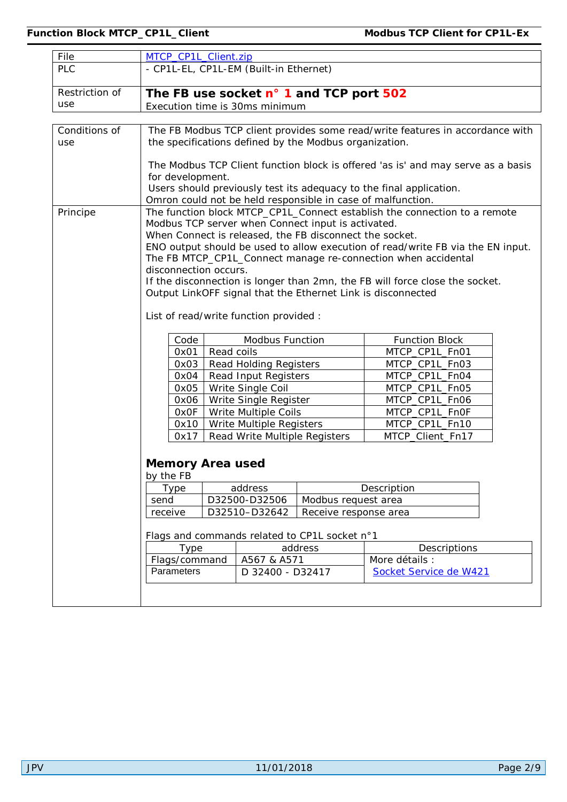| File           | MTCP_CP1L_Client.zip                    |                                          |                                        |                                                         |                                                                                  |  |
|----------------|-----------------------------------------|------------------------------------------|----------------------------------------|---------------------------------------------------------|----------------------------------------------------------------------------------|--|
| <b>PLC</b>     |                                         |                                          | - CP1L-EL, CP1L-EM (Built-in Ethernet) |                                                         |                                                                                  |  |
| Restriction of | The FB use socket n° 1 and TCP port 502 |                                          |                                        |                                                         |                                                                                  |  |
| use            | Execution time is 30ms minimum          |                                          |                                        |                                                         |                                                                                  |  |
|                |                                         |                                          |                                        |                                                         |                                                                                  |  |
| Conditions of  |                                         |                                          |                                        |                                                         | The FB Modbus TCP client provides some read/write features in accordance with    |  |
| use            |                                         |                                          |                                        | the specifications defined by the Modbus organization.  |                                                                                  |  |
|                |                                         |                                          |                                        |                                                         |                                                                                  |  |
|                |                                         |                                          |                                        |                                                         | The Modbus TCP Client function block is offered 'as is' and may serve as a basis |  |
|                | for development.                        |                                          |                                        |                                                         |                                                                                  |  |
|                |                                         |                                          |                                        |                                                         | Users should previously test its adequacy to the final application.              |  |
|                |                                         |                                          |                                        |                                                         | Omron could not be held responsible in case of malfunction.                      |  |
| Principe       |                                         |                                          |                                        |                                                         | The function block MTCP_CP1L_Connect establish the connection to a remote        |  |
|                |                                         |                                          |                                        | Modbus TCP server when Connect input is activated.      |                                                                                  |  |
|                |                                         |                                          |                                        | When Connect is released, the FB disconnect the socket. |                                                                                  |  |
|                |                                         |                                          |                                        |                                                         | ENO output should be used to allow execution of read/write FB via the EN input.  |  |
|                | disconnection occurs.                   |                                          |                                        |                                                         | The FB MTCP_CP1L_Connect manage re-connection when accidental                    |  |
|                |                                         |                                          |                                        |                                                         | If the disconnection is longer than 2mn, the FB will force close the socket.     |  |
|                |                                         |                                          |                                        |                                                         | Output LinkOFF signal that the Ethernet Link is disconnected                     |  |
|                |                                         |                                          |                                        |                                                         |                                                                                  |  |
|                |                                         |                                          |                                        |                                                         |                                                                                  |  |
|                |                                         | List of read/write function provided :   |                                        |                                                         |                                                                                  |  |
|                | Code                                    | Modbus Function<br><b>Function Block</b> |                                        |                                                         |                                                                                  |  |
|                | 0x01                                    | Read coils                               |                                        |                                                         | MTCP_CP1L_Fn01                                                                   |  |
|                | 0x03                                    |                                          | <b>Read Holding Registers</b>          |                                                         | MTCP_CP1L_Fn03                                                                   |  |
|                | 0x04                                    |                                          | Read Input Registers                   |                                                         | MTCP_CP1L_Fn04                                                                   |  |
|                | 0x05                                    |                                          | Write Single Coil                      |                                                         | MTCP_CP1L_Fn05                                                                   |  |
|                | 0x06                                    |                                          | Write Single Register                  |                                                         | MTCP_CP1L_Fn06                                                                   |  |
|                | 0x0F                                    |                                          | Write Multiple Coils                   |                                                         | MTCP_CP1L_Fn0F                                                                   |  |
|                | 0x10                                    |                                          | Write Multiple Registers               |                                                         | MTCP_CP1L_Fn10                                                                   |  |
|                | 0x17                                    |                                          | Read Write Multiple Registers          |                                                         | MTCP_Client_Fn17                                                                 |  |
|                |                                         |                                          |                                        |                                                         |                                                                                  |  |
|                | <b>Memory Area used</b>                 |                                          |                                        |                                                         |                                                                                  |  |
|                | by the FB                               |                                          |                                        |                                                         |                                                                                  |  |
|                | Type                                    |                                          | address                                |                                                         | Description                                                                      |  |
|                | send                                    |                                          | D32500-D32506<br>Modbus request area   |                                                         |                                                                                  |  |
|                | receive                                 |                                          | D32510-D32642<br>Receive response area |                                                         |                                                                                  |  |
|                |                                         |                                          |                                        |                                                         |                                                                                  |  |
|                |                                         |                                          |                                        | Flags and commands related to CP1L socket n°1           |                                                                                  |  |
|                | <b>Type</b>                             |                                          |                                        | address                                                 | Descriptions                                                                     |  |
|                | Flags/command                           |                                          | A567 & A571                            |                                                         | More détails :                                                                   |  |
|                | Parameters                              |                                          | D 32400 - D32417                       |                                                         | Socket Service de W421                                                           |  |
|                |                                         |                                          |                                        |                                                         |                                                                                  |  |
|                |                                         |                                          |                                        |                                                         |                                                                                  |  |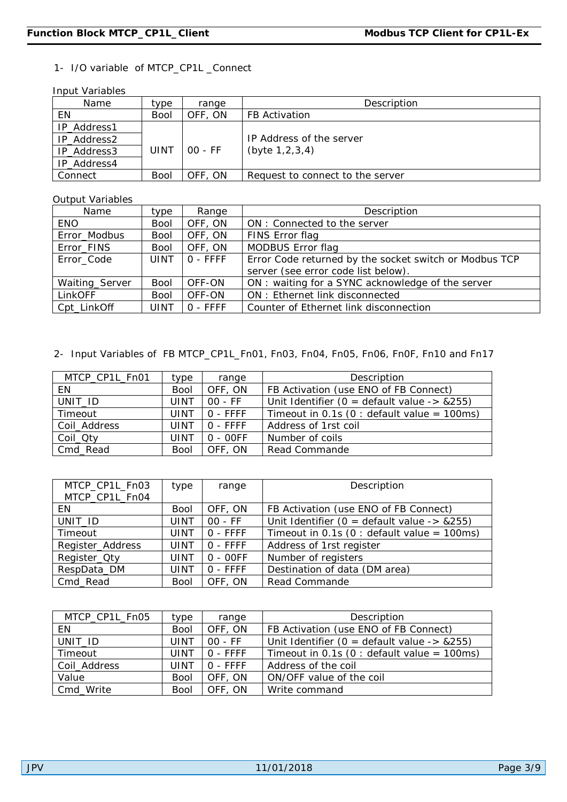#### 1- I/O variable of MTCP\_CP1L \_Connect

Input Variables

| Name        | type        | range   | Description                      |
|-------------|-------------|---------|----------------------------------|
| ΕN          | Bool        | OFF, ON | <b>FB Activation</b>             |
| IP_Address1 |             |         |                                  |
| IP_Address2 |             |         | IP Address of the server         |
| IP_Address3 | UINT        | 00 - FF | (byte $1, 2, 3, 4$ )             |
| IP_Address4 |             |         |                                  |
| Connect     | <b>Bool</b> | OFF, ON | Request to connect to the server |

#### Output Variables

| Name           | type        | Range       | Description                                            |
|----------------|-------------|-------------|--------------------------------------------------------|
| <b>ENO</b>     | <b>Bool</b> | OFF, ON     | ON : Connected to the server                           |
| Error_Modbus   | <b>Bool</b> | OFF, ON     | FINS Error flag                                        |
| Error_FINS     | <b>Bool</b> | OFF, ON     | MODBUS Error flag                                      |
| Error Code     | <b>UINT</b> | $ 0 - FFFF$ | Error Code returned by the socket switch or Modbus TCP |
|                |             |             | server (see error code list below).                    |
| Waiting_Server | <b>Bool</b> | OFF-ON      | ON: waiting for a SYNC acknowledge of the server       |
| LinkOFF        | <b>Bool</b> | OFF-ON      | ON : Ethernet link disconnected                        |
| Cpt_LinkOff    | UINT        | $0 - FFFF$  | Counter of Ethernet link disconnection                 |

#### 2- Input Variables of FB MTCP\_CP1L\_Fn01, Fn03, Fn04, Fn05, Fn06, Fn0F, Fn10 and Fn17

| MTCP_CP1L_Fn01 | type        | range      | Description                                       |
|----------------|-------------|------------|---------------------------------------------------|
| EN             | <b>Bool</b> | OFF, ON    | FB Activation (use ENO of FB Connect)             |
| UNIT_ID        | UINT        | $00 - FF$  | Unit Identifier ( $0 =$ default value -> $&255$ ) |
| Timeout        | <b>UINT</b> | $0 - FFFF$ | Timeout in 0.1s (0 : default value = $100ms$ )    |
| Coil_Address   | UINT        | $0 - FFFF$ | Address of 1rst coil                              |
| Coil_Qty       | UINT        | $O - OOFF$ | Number of coils                                   |
| Cmd_Read       | <b>Bool</b> | OFF, ON    | Read Commande                                     |

| MTCP_CP1L_Fn03<br>MTCP_CP1L_Fn04 | type        | range      | Description                                       |
|----------------------------------|-------------|------------|---------------------------------------------------|
| EN.                              | <b>Bool</b> | OFF, ON    | FB Activation (use ENO of FB Connect)             |
| UNIT_ID                          | UINT        | $OO$ - FF  | Unit Identifier ( $0 =$ default value -> $&255$ ) |
| Timeout                          | UINT        | $O - FFFF$ | Timeout in 0.1s (0 : default value = $100ms$ )    |
| Register_Address                 | UINT        | $O - FFFF$ | Address of 1rst register                          |
| Register_Oty                     | UINT        | $0 - OOFF$ | Number of registers                               |
| RespData_DM                      | UINT        | $O - FFFF$ | Destination of data (DM area)                     |
| Cmd_Read                         | <b>Bool</b> | OFF, ON    | Read Commande                                     |

| MTCP_CP1L_Fn05 | type        | range      | Description                                    |
|----------------|-------------|------------|------------------------------------------------|
| ΕN             | <b>Bool</b> | OFF, ON    | FB Activation (use ENO of FB Connect)          |
| UNIT_ID        | UINT        | $00 - FF$  | Unit Identifier ( $0 =$ default value -> &255) |
| Timeout        | UINT        | $0 - FFFF$ | Timeout in 0.1s (0 : default value = $100ms$ ) |
| Coil_Address   | UINT        | $0 - FFFF$ | Address of the coil                            |
| Value          | <b>Bool</b> | OFF, ON    | ON/OFF value of the coil                       |
| Cmd Write      | <b>Bool</b> | OFF, ON    | Write command                                  |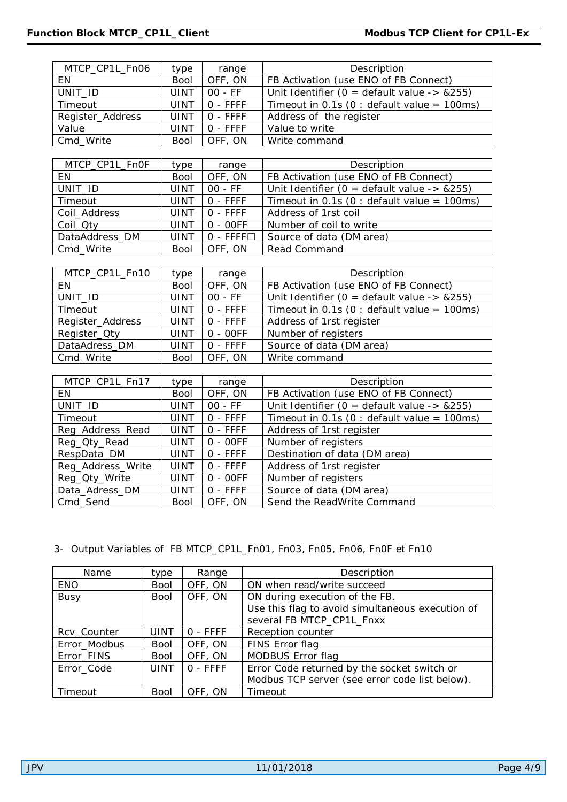| MTCP_CP1L_Fn06   | type        | range      | Description                                    |
|------------------|-------------|------------|------------------------------------------------|
| EN.              | <b>Bool</b> | OFF, ON    | FB Activation (use ENO of FB Connect)          |
| UNIT_ID          | <b>UINT</b> | $00 - FF$  | Unit Identifier ( $0 =$ default value -> &255) |
| Timeout          | <b>UINT</b> | $0 - FFFF$ | Timeout in 0.1s (0 : default value = $100ms$ ) |
| Register_Address | <b>UINT</b> | O - FFFF   | Address of the register                        |
| Value            | <b>UINT</b> | O - FFFF   | Value to write                                 |
| Cmd_Write        | <b>Bool</b> | OFF, ON    | Write command                                  |
|                  |             |            |                                                |
| MTCP_CP1L_Fn0F   | type        | range      | Description                                    |
| <b>EN</b>        | <b>Bool</b> | OFF, ON    | FB Activation (use ENO of FB Connect)          |
| UNIT_ID          | <b>UINT</b> | $00 - FF$  | Unit Identifier ( $0 =$ default value -> &255) |
| Timeout          | <b>UINT</b> | O - FFFF   | Timeout in 0.1s (0 : default value = 100ms)    |
| Coil_Address     | <b>UINT</b> | O - FFFF   | Address of 1rst coil                           |
| Coil_Qty         | <b>UINT</b> | $0 - OOFF$ | Number of coil to write                        |
| DataAddress_DM   | <b>UINT</b> | $0 - FFFF$ | Source of data (DM area)                       |
| Cmd_Write        | <b>Bool</b> | OFF, ON    | Read Command                                   |
|                  |             |            |                                                |
| MTCP_CP1L_Fn10   | type        | range      | Description                                    |
| <b>EN</b>        | <b>Bool</b> | OFF, ON    | FB Activation (use ENO of FB Connect)          |
| UNIT_ID          | <b>UINT</b> | $00 - FF$  | Unit Identifier ( $0 =$ default value -> &255) |
| Timeout          | <b>UINT</b> | $0 - FFFF$ | Timeout in 0.1s (0 : default value = 100ms)    |
| Register_Address | <b>UINT</b> | $0 - FFFF$ | Address of 1rst register                       |
| Register_Oty     | <b>UINT</b> | $0 - OOFF$ | Number of registers                            |
| DataAdress_DM    | <b>UINT</b> | 0 - FFFF   | Source of data (DM area)                       |
| Cmd_Write        | <b>Bool</b> | OFF, ON    | Write command                                  |
|                  |             |            |                                                |
| MTCP_CP1L_Fn17   | type        | range      | Description                                    |
| EN               | <b>Bool</b> | OFF, ON    | FB Activation (use ENO of FB Connect)          |

| $IVI\cup F\_C F I L\_FII I I$ | ιγμσ        | ranye      | <b>DESCRIPTION</b>                             |
|-------------------------------|-------------|------------|------------------------------------------------|
| EN                            | <b>Bool</b> | OFF, ON    | FB Activation (use ENO of FB Connect)          |
| UNIT_ID                       | UINT        | $00 - FF$  | Unit Identifier ( $0 =$ default value -> &255) |
| Timeout                       | <b>UINT</b> | $O - FFFF$ | Timeout in 0.1s (0 : default value = 100ms)    |
| Reg_Address_Read              | <b>UINT</b> | $0 - FFFF$ | Address of 1rst register                       |
| Reg_Qty_Read                  | UINT        | $0 - OOFF$ | Number of registers                            |
| RespData_DM                   | UINT        | $0 - FFFF$ | Destination of data (DM area)                  |
| Reg_Address_Write             | <b>UINT</b> | $0 - FFFF$ | Address of 1rst register                       |
| Reg_Qty_Write                 | UINT        | $0 - OOFF$ | Number of registers                            |
| Data_Adress_DM                | UINT        | $0 - FFFF$ | Source of data (DM area)                       |
| Cmd_Send                      | <b>Bool</b> | OFF, ON    | Send the ReadWrite Command                     |

#### 3- Output Variables of FB MTCP\_CP1L\_Fn01, Fn03, Fn05, Fn06, Fn0F et Fn10

| Name         | type        | Range      | Description                                      |
|--------------|-------------|------------|--------------------------------------------------|
| <b>ENO</b>   | <b>Bool</b> | OFF, ON    | ON when read/write succeed                       |
| <b>Busy</b>  | <b>Bool</b> | OFF, ON    | ON during execution of the FB.                   |
|              |             |            | Use this flag to avoid simultaneous execution of |
|              |             |            | several FB MTCP_CP1L_Fnxx                        |
| Rcv_Counter  | UINT        | $0 - FFFF$ | Reception counter                                |
| Error_Modbus | <b>Bool</b> | OFF, ON    | FINS Error flag                                  |
| Error_FINS   | <b>Bool</b> | OFF, ON    | MODBUS Error flag                                |
| Error_Code   | <b>UINT</b> | $0 - FFFF$ | Error Code returned by the socket switch or      |
|              |             |            | Modbus TCP server (see error code list below).   |
| Timeout      | <b>Bool</b> | OFF, ON    | Timeout                                          |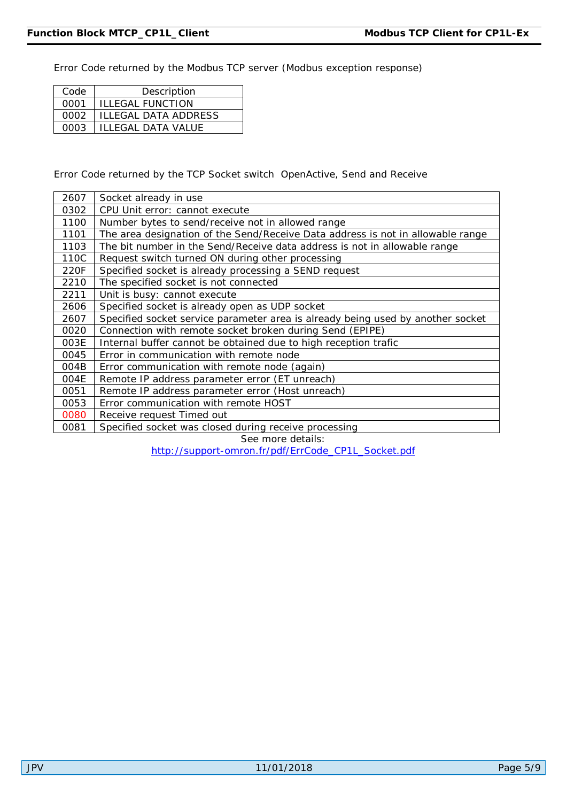Error Code returned by the Modbus TCP server (Modbus exception response)

| Code | Description                 |
|------|-----------------------------|
| 0001 | <b>ILLEGAL FUNCTION</b>     |
| 0002 | <b>ILLEGAL DATA ADDRESS</b> |
| 0003 | <b>ILLEGAL DATA VALUE</b>   |

Error Code returned by the TCP Socket switch OpenActive, Send and Receive

| 2607 | Socket already in use                                                           |
|------|---------------------------------------------------------------------------------|
| 0302 | CPU Unit error: cannot execute                                                  |
| 1100 | Number bytes to send/receive not in allowed range                               |
| 1101 | The area designation of the Send/Receive Data address is not in allowable range |
| 1103 | The bit number in the Send/Receive data address is not in allowable range       |
| 110C | Request switch turned ON during other processing                                |
| 220F | Specified socket is already processing a SEND request                           |
| 2210 | The specified socket is not connected                                           |
| 2211 | Unit is busy: cannot execute                                                    |
| 2606 | Specified socket is already open as UDP socket                                  |
| 2607 | Specified socket service parameter area is already being used by another socket |
| 0020 | Connection with remote socket broken during Send (EPIPE)                        |
| 003E | Internal buffer cannot be obtained due to high reception trafic                 |
| 0045 | Error in communication with remote node                                         |
| 004B | Error communication with remote node (again)                                    |
| 004E | Remote IP address parameter error (ET unreach)                                  |
| 0051 | Remote IP address parameter error (Host unreach)                                |
| 0053 | Error communication with remote HOST                                            |
| 0080 | Receive request Timed out                                                       |
| 0081 | Specified socket was closed during receive processing                           |

See more details:

[http://support-omron.fr/pdf/ErrCode\\_CP1L\\_Socket.pdf](http://support-omron.fr/pdf/ErrCode_CP1L_Socket.pdf)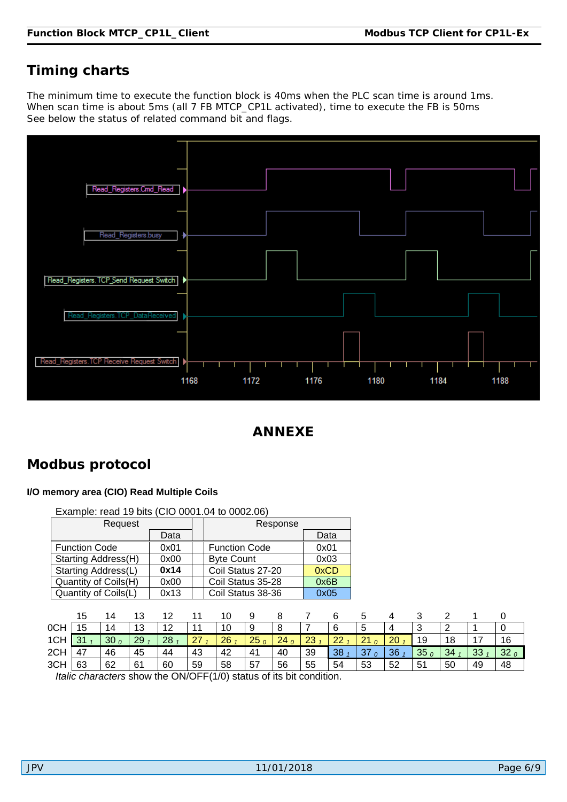# **Timing charts**

The minimum time to execute the function block is 40ms when the PLC scan time is around 1ms. When scan time is about 5ms (all 7 FB MTCP\_CP1L activated), time to execute the FB is 50ms See below the status of related command bit and flags.



## **ANNEXE**

## **Modbus protocol**

#### **I/O memory area (CIO) Read Multiple Coils**

|     |                      |                 |    | Example: read 19 bits (CIO 0001.04 to 0002.06)                     |    |                      |                 |                 |                 |    |                 |    |                 |                 |    |                 |
|-----|----------------------|-----------------|----|--------------------------------------------------------------------|----|----------------------|-----------------|-----------------|-----------------|----|-----------------|----|-----------------|-----------------|----|-----------------|
|     |                      | Request         |    |                                                                    |    |                      |                 | Response        |                 |    |                 |    |                 |                 |    |                 |
|     |                      |                 |    | Data                                                               |    |                      |                 |                 | Data            |    |                 |    |                 |                 |    |                 |
|     | <b>Function Code</b> |                 |    | 0x01                                                               |    | <b>Function Code</b> |                 |                 | 0x01            |    |                 |    |                 |                 |    |                 |
|     | Starting Address(H)  |                 |    | 0x00                                                               |    | <b>Byte Count</b>    |                 |                 | 0x03            |    |                 |    |                 |                 |    |                 |
|     | Starting Address(L)  |                 |    | 0x14                                                               |    | Coil Status 27-20    |                 |                 | 0xCD            |    |                 |    |                 |                 |    |                 |
|     | Quantity of Coils(H) |                 |    | 0x00                                                               |    | Coil Status 35-28    |                 |                 | 0x6B            |    |                 |    |                 |                 |    |                 |
|     | Quantity of Coils(L) |                 |    | 0x13                                                               |    | Coil Status 38-36    |                 |                 | 0x05            |    |                 |    |                 |                 |    |                 |
|     |                      |                 |    |                                                                    |    |                      |                 |                 |                 |    |                 |    |                 |                 |    |                 |
|     | 15                   | 14              | 13 | 12 <sup>2</sup>                                                    | 11 | 10                   | 9               | 8               |                 | 6  | 5               | 4  | 3               | 2               |    | 0               |
| 0CH | 15                   | 14              | 13 | 12                                                                 | 11 | 10                   | 9               | 8               |                 | 6  | 5               | 4  | 3               | 2               |    | 0               |
| 1CH | 31 <sub>1</sub>      | 30 <sub>0</sub> | 29 | 28 <sub>1</sub>                                                    | 27 | 26 <sub>1</sub>      | 25 <sub>0</sub> | 24 <sub>0</sub> | 23 <sub>1</sub> | 22 | 21 <sub>0</sub> | 20 | 19              | 18              | 17 | 16              |
| 2CH | 47                   | 46              | 45 | 44                                                                 | 43 | 42                   | 41              | 40              | 39              | 38 | 37 $\rho$       | 36 | 35 <sub>0</sub> | 34 <sub>1</sub> | 33 | 32 <sub>0</sub> |
| 3CH | 63                   | 62              | 61 | 60                                                                 | 59 | 58                   | 57              | 56              | 55              | 54 | 53              | 52 | 51              | 50              | 49 | 48              |
|     |                      |                 |    | Italic characters show the ON/OFF(1/0) status of its bit condition |    |                      |                 |                 |                 |    |                 |    |                 |                 |    |                 |

*Italic characters* show the ON/OFF(1/0) status of its bit condition.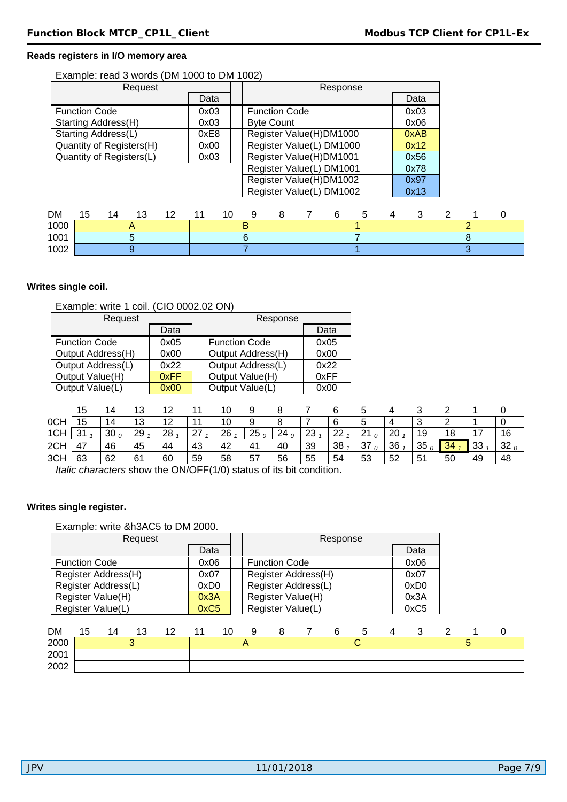#### **Reads registers in I/O memory area**

#### Example: read 3 words (DM 1000 to DM 1002)

| Request                                            |          |   |                          | Response |   |   |      |   |   |
|----------------------------------------------------|----------|---|--------------------------|----------|---|---|------|---|---|
|                                                    | Data     |   |                          |          |   |   | Data |   |   |
| <b>Function Code</b>                               | 0x03     |   | <b>Function Code</b>     |          |   |   | 0x03 |   |   |
| Starting Address(H)                                | 0x03     |   | <b>Byte Count</b>        |          |   |   | 0x06 |   |   |
| Starting Address(L)                                | 0xE8     |   | Register Value(H)DM1000  |          |   |   | 0xAB |   |   |
| Quantity of Registers(H)                           | 0x00     |   | Register Value(L) DM1000 |          |   |   | 0x12 |   |   |
| Quantity of Registers(L)                           | 0x03     |   | Register Value(H)DM1001  |          |   |   | 0x56 |   |   |
|                                                    |          |   | Register Value(L) DM1001 |          |   |   | 0x78 |   |   |
|                                                    |          |   | Register Value(H)DM1002  |          |   |   | 0x97 |   |   |
|                                                    |          |   | Register Value(L) DM1002 |          |   |   | 0x13 |   |   |
|                                                    |          |   |                          |          |   |   |      |   |   |
| DМ<br>15<br>12<br>14<br>13<br>$\sim$ $\sim$ $\sim$ | 10<br>11 | 9 | 8                        | 6        | 5 | 4 | 3    | 2 | 0 |

| DМ   | 1 L<br>w | 14 | . .<br>v | . .<br>$\sim$ | . . | <b>11</b> |  |  |  |  |  |
|------|----------|----|----------|---------------|-----|-----------|--|--|--|--|--|
| 1000 |          |    |          |               |     |           |  |  |  |  |  |
| 1001 |          |    |          |               |     |           |  |  |  |  |  |
| 1002 |          |    |          |               |     |           |  |  |  |  |  |

#### **Writes single coil.**

#### Example: write 1 coil. (CIO 0002.02 ON)

| Request              |      | Response             |      |
|----------------------|------|----------------------|------|
|                      | Data |                      | Data |
| <b>Function Code</b> | 0x05 | <b>Function Code</b> | 0x05 |
| Output Address(H)    | 0x00 | Output Address(H)    | 0x00 |
| Output Address(L)    | 0x22 | Output Address(L)    | 0x22 |
| Output Value(H)      | 0xFF | Output Value(H)      | 0xFF |
| Output Value(L)      | 0x00 | Output Value(L)      | 0x00 |

|     | 15     |         |    |           |    |    |    |    |    |    |    |    |                 |    |    |                 |
|-----|--------|---------|----|-----------|----|----|----|----|----|----|----|----|-----------------|----|----|-----------------|
| 0CH | 15     | 14      | 13 | 12<br>' 4 |    | 10 |    |    |    |    |    | 4  | u               |    |    |                 |
| 1CH | ີ<br>ັ | 30 $_0$ | 29 | 28        | 27 | 26 | 25 | 24 | 23 | 22 | 21 | 20 | 19              | 18 | -  | 16              |
| 2CH | 47     | 46      | 45 | 44        | 43 | 42 | 41 | 40 | 39 | 38 | 37 | 36 | 35 <sub>1</sub> | 34 | 33 | 32 <sub>0</sub> |
| 3CH | 63     | 62      | 61 | 60        | 59 | 58 | 57 | 56 | 55 | 54 | 53 | 52 | 51              | 50 | 49 | 48              |

*Italic characters* show the ON/OFF(1/0) status of its bit condition.

#### **Writes single register.**

#### Example: write &h3AC5 to DM 2000.

| Request              |                  | Response             |                  |
|----------------------|------------------|----------------------|------------------|
|                      | Data             |                      | Data             |
| <b>Function Code</b> | 0x06             | <b>Function Code</b> | 0x06             |
| Register Address(H)  | 0x07             | Register Address(H)  | 0x07             |
| Register Address(L)  | 0xD <sub>0</sub> | Register Address(L)  | 0xD <sub>0</sub> |
| Register Value(H)    | 0x3A             | Register Value(H)    | 0x3A             |
| Register Value(L)    | 0xC5             | Register Value(L)    | 0xC5             |
|                      |                  |                      |                  |

| <b>DM</b> | 15 | 14 | 12<br>ں ا | 12<br>. <u>.</u> | 4.4 | 10 | a |  |  |  |  |  |
|-----------|----|----|-----------|------------------|-----|----|---|--|--|--|--|--|
| 2000      |    |    |           |                  |     |    |   |  |  |  |  |  |
| 2001      |    |    |           |                  |     |    |   |  |  |  |  |  |
| 2002      |    |    |           |                  |     |    |   |  |  |  |  |  |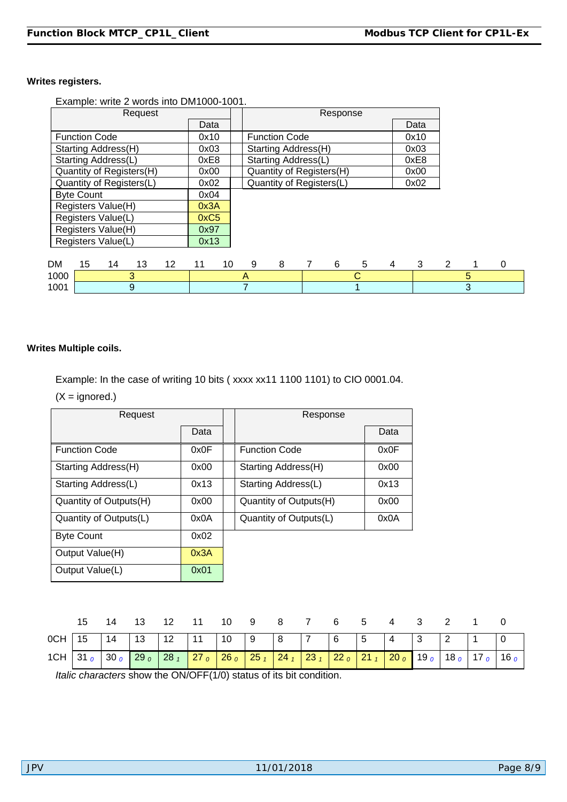#### **Writes registers.**

Example: write 2 words into DM1000-1001.

| Request                    |          |                          | Response |      |   |   |   |
|----------------------------|----------|--------------------------|----------|------|---|---|---|
|                            | Data     |                          |          | Data |   |   |   |
| <b>Function Code</b>       | 0x10     | <b>Function Code</b>     |          | 0x10 |   |   |   |
| Starting Address(H)        | 0x03     | Starting Address(H)      |          | 0x03 |   |   |   |
| Starting Address(L)        | 0xE8     | Starting Address(L)      |          | 0xE8 |   |   |   |
| Quantity of Registers(H)   | 0x00     | Quantity of Registers(H) |          | 0x00 |   |   |   |
| Quantity of Registers(L)   | 0x02     | Quantity of Registers(L) |          | 0x02 |   |   |   |
| <b>Byte Count</b>          | 0x04     |                          |          |      |   |   |   |
| Registers Value(H)         | 0x3A     |                          |          |      |   |   |   |
| Registers Value(L)         | 0xC5     |                          |          |      |   |   |   |
| Registers Value(H)         | 0x97     |                          |          |      |   |   |   |
| Registers Value(L)         | 0x13     |                          |          |      |   |   |   |
|                            |          |                          |          |      |   |   |   |
| DM<br>15<br>14<br>13<br>12 | 10<br>11 | 8<br>9                   | 6<br>5   | 4    | 3 | 2 | 0 |
| 3<br>1000                  |          | A                        | С        |      |   | 5 |   |
| 1001<br>9                  |          |                          |          |      |   | 3 |   |

#### **Writes Multiple coils.**

Example: In the case of writing 10 bits ( xxxx xx11 1100 1101) to CIO 0001.04.

 $(X = \text{ignored.})$ 

| Request                |      | Response               |      |
|------------------------|------|------------------------|------|
|                        | Data |                        | Data |
| <b>Function Code</b>   | 0x0F | <b>Function Code</b>   | 0x0F |
| Starting Address(H)    | 0x00 | Starting Address(H)    | 0x00 |
| Starting Address(L)    | 0x13 | Starting Address(L)    | 0x13 |
| Quantity of Outputs(H) | 0x00 | Quantity of Outputs(H) | 0x00 |
| Quantity of Outputs(L) | 0x0A | Quantity of Outputs(L) | 0x0A |
| <b>Byte Count</b>      | 0x02 |                        |      |
| Output Value(H)        | 0x3A |                        |      |
| Output Value(L)        | 0x01 |                        |      |

|  |  | 15  14  13  12  11  10  9  8  7  6  5  4  3  2  1  0                                                                                |  |  |  |  |  |  |
|--|--|-------------------------------------------------------------------------------------------------------------------------------------|--|--|--|--|--|--|
|  |  | 0CH 15 14 13 12 11 10 9 8 7 6 5 4 3 2 1 0                                                                                           |  |  |  |  |  |  |
|  |  | 1CH 31 $_0$ 30 $_0$ 29 $_0$ 28 $_1$ 27 $_0$ 26 $_0$ 25 $_1$ 24 $_1$ 23 $_1$ 22 $_0$ 21 $_1$ 20 $_0$ 19 $_0$ 18 $_0$ 17 $_0$ 16 $_0$ |  |  |  |  |  |  |

*Italic characters* show the ON/OFF(1/0) status of its bit condition.